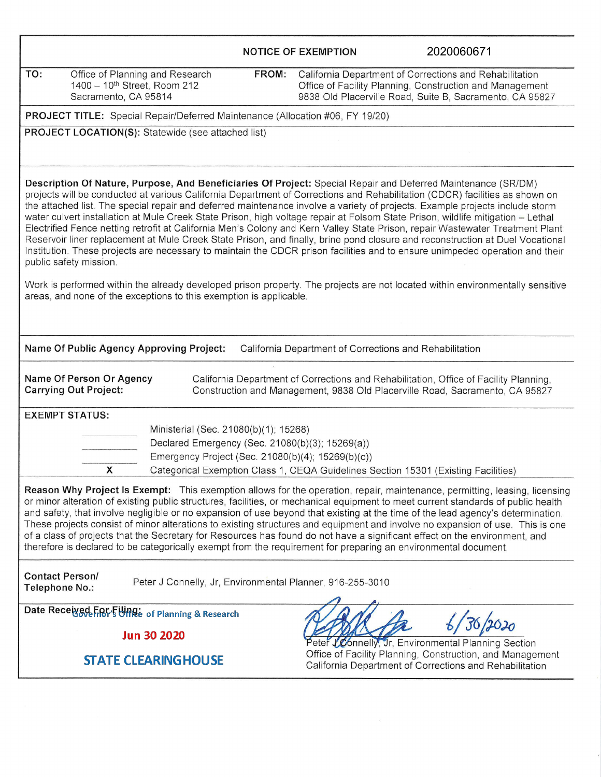|                                                                                                                                                                                                                                                                                                                                                                                                                                                                                                                                                                                                                                                                                                                                                                                                                                                                                                                                             |                                                                                    | <b>NOTICE OF EXEMPTION</b> | 2020060671                                                                                                                                                                      |  |  |  |
|---------------------------------------------------------------------------------------------------------------------------------------------------------------------------------------------------------------------------------------------------------------------------------------------------------------------------------------------------------------------------------------------------------------------------------------------------------------------------------------------------------------------------------------------------------------------------------------------------------------------------------------------------------------------------------------------------------------------------------------------------------------------------------------------------------------------------------------------------------------------------------------------------------------------------------------------|------------------------------------------------------------------------------------|----------------------------|---------------------------------------------------------------------------------------------------------------------------------------------------------------------------------|--|--|--|
| TO:<br>Office of Planning and Research<br>1400 - 10 <sup>th</sup> Street, Room 212<br>Sacramento, CA 95814                                                                                                                                                                                                                                                                                                                                                                                                                                                                                                                                                                                                                                                                                                                                                                                                                                  | FROM:                                                                              |                            | California Department of Corrections and Rehabilitation<br>Office of Facility Planning, Construction and Management<br>9838 Old Placerville Road, Suite B, Sacramento, CA 95827 |  |  |  |
| PROJECT TITLE: Special Repair/Deferred Maintenance (Allocation #06, FY 19/20)                                                                                                                                                                                                                                                                                                                                                                                                                                                                                                                                                                                                                                                                                                                                                                                                                                                               |                                                                                    |                            |                                                                                                                                                                                 |  |  |  |
| PROJECT LOCATION(S): Statewide (see attached list)                                                                                                                                                                                                                                                                                                                                                                                                                                                                                                                                                                                                                                                                                                                                                                                                                                                                                          |                                                                                    |                            |                                                                                                                                                                                 |  |  |  |
| Description Of Nature, Purpose, And Beneficiaries Of Project: Special Repair and Deferred Maintenance (SR/DM)<br>projects will be conducted at various California Department of Corrections and Rehabilitation (CDCR) facilities as shown on<br>the attached list. The special repair and deferred maintenance involve a variety of projects. Example projects include storm<br>water culvert installation at Mule Creek State Prison, high voltage repair at Folsom State Prison, wildlife mitigation – Lethal<br>Electrified Fence netting retrofit at California Men's Colony and Kern Valley State Prison, repair Wastewater Treatment Plant<br>Reservoir liner replacement at Mule Creek State Prison, and finally, brine pond closure and reconstruction at Duel Vocational<br>Institution. These projects are necessary to maintain the CDCR prison facilities and to ensure unimpeded operation and their<br>public safety mission. |                                                                                    |                            |                                                                                                                                                                                 |  |  |  |
| Work is performed within the already developed prison property. The projects are not located within environmentally sensitive<br>areas, and none of the exceptions to this exemption is applicable.                                                                                                                                                                                                                                                                                                                                                                                                                                                                                                                                                                                                                                                                                                                                         |                                                                                    |                            |                                                                                                                                                                                 |  |  |  |
| Name Of Public Agency Approving Project:                                                                                                                                                                                                                                                                                                                                                                                                                                                                                                                                                                                                                                                                                                                                                                                                                                                                                                    |                                                                                    |                            | California Department of Corrections and Rehabilitation                                                                                                                         |  |  |  |
| Name Of Person Or Agency<br>California Department of Corrections and Rehabilitation, Office of Facility Planning,<br><b>Carrying Out Project:</b><br>Construction and Management, 9838 Old Placerville Road, Sacramento, CA 95827                                                                                                                                                                                                                                                                                                                                                                                                                                                                                                                                                                                                                                                                                                           |                                                                                    |                            |                                                                                                                                                                                 |  |  |  |
| <b>EXEMPT STATUS:</b>                                                                                                                                                                                                                                                                                                                                                                                                                                                                                                                                                                                                                                                                                                                                                                                                                                                                                                                       |                                                                                    |                            |                                                                                                                                                                                 |  |  |  |
| Ministerial (Sec. 21080(b)(1); 15268)                                                                                                                                                                                                                                                                                                                                                                                                                                                                                                                                                                                                                                                                                                                                                                                                                                                                                                       |                                                                                    |                            |                                                                                                                                                                                 |  |  |  |
| Declared Emergency (Sec. 21080(b)(3); 15269(a))<br>Emergency Project (Sec. 21080(b)(4); 15269(b)(c))                                                                                                                                                                                                                                                                                                                                                                                                                                                                                                                                                                                                                                                                                                                                                                                                                                        |                                                                                    |                            |                                                                                                                                                                                 |  |  |  |
| x                                                                                                                                                                                                                                                                                                                                                                                                                                                                                                                                                                                                                                                                                                                                                                                                                                                                                                                                           | Categorical Exemption Class 1, CEQA Guidelines Section 15301 (Existing Facilities) |                            |                                                                                                                                                                                 |  |  |  |
| Reason Why Project Is Exempt: This exemption allows for the operation, repair, maintenance, permitting, leasing, licensing<br>or minor alteration of existing public structures, facilities, or mechanical equipment to meet current standards of public health<br>and safety, that involve negligible or no expansion of use beyond that existing at the time of the lead agency's determination.<br>These projects consist of minor alterations to existing structures and equipment and involve no expansion of use. This is one<br>of a class of projects that the Secretary for Resources has found do not have a significant effect on the environment, and<br>therefore is declared to be categorically exempt from the requirement for preparing an environmental document.                                                                                                                                                         |                                                                                    |                            |                                                                                                                                                                                 |  |  |  |
| <b>Contact Person/</b><br>Peter J Connelly, Jr, Environmental Planner, 916-255-3010<br>Telephone No.:                                                                                                                                                                                                                                                                                                                                                                                                                                                                                                                                                                                                                                                                                                                                                                                                                                       |                                                                                    |                            |                                                                                                                                                                                 |  |  |  |
| Date Received For, Ellinge of Planning & Research                                                                                                                                                                                                                                                                                                                                                                                                                                                                                                                                                                                                                                                                                                                                                                                                                                                                                           |                                                                                    |                            |                                                                                                                                                                                 |  |  |  |
| <b>Jun 30 2020</b>                                                                                                                                                                                                                                                                                                                                                                                                                                                                                                                                                                                                                                                                                                                                                                                                                                                                                                                          |                                                                                    |                            | Peter LConnelly, Jr, Environmental Planning Section                                                                                                                             |  |  |  |
| <b>STATE CLEARING HOUSE</b>                                                                                                                                                                                                                                                                                                                                                                                                                                                                                                                                                                                                                                                                                                                                                                                                                                                                                                                 |                                                                                    |                            | Office of Facility Planning, Construction, and Management<br>California Department of Corrections and Rehabilitation                                                            |  |  |  |